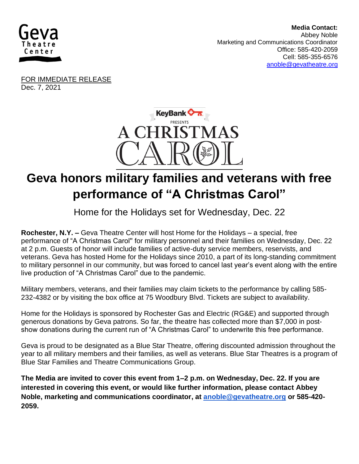

 **Media Contact:**  Abbey Noble Marketing and Communications Coordinator Office: 585-420-2059 Cell: 585-355-6576 [anoble@gevatheatre.org](mailto:anoble@gevatheatre.org)

FOR IMMEDIATE RELEASE Dec. 7, 2021



## **Geva honors military families and veterans with free performance of "A Christmas Carol"**

## Home for the Holidays set for Wednesday, Dec. 22

**Rochester, N.Y. –** Geva Theatre Center will host Home for the Holidays – a special, free performance of "A Christmas Carol'' for military personnel and their families on Wednesday, Dec. 22 at 2 p.m. Guests of honor will include families of active-duty service members, reservists, and veterans. Geva has hosted Home for the Holidays since 2010, a part of its long-standing commitment to military personnel in our community, but was forced to cancel last year's event along with the entire live production of "A Christmas Carol" due to the pandemic.

Military members, veterans, and their families may claim tickets to the performance by calling 585- 232-4382 or by visiting the box office at 75 Woodbury Blvd. Tickets are subject to availability.

Home for the Holidays is sponsored by Rochester Gas and Electric (RG&E) and supported through generous donations by Geva patrons. So far, the theatre has collected more than \$7,000 in postshow donations during the current run of "A Christmas Carol" to underwrite this free performance.

Geva is proud to be designated as a Blue Star Theatre, offering discounted admission throughout the year to all military members and their families, as well as veterans. Blue Star Theatres is a program of Blue Star Families and Theatre Communications Group.

**The Media are invited to cover this event from 1–2 p.m. on Wednesday, Dec. 22. If you are interested in covering this event, or would like further information, please contact Abbey Noble, marketing and communications coordinator, at [anoble@gevatheatre.org](mailto:anoble@gevatheatre.org) or 585-420- 2059.**